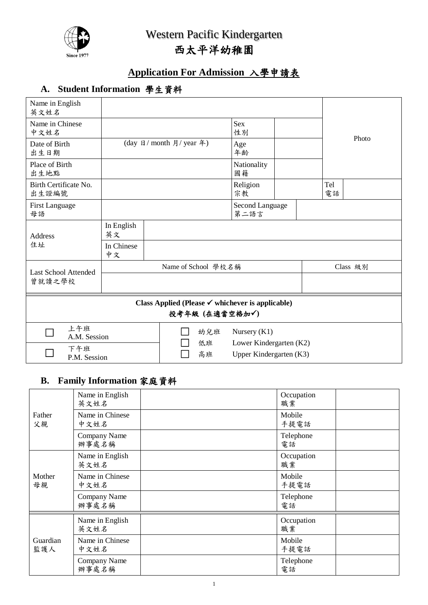

# **Application For Admission** 入學申請表

# **A. Student Information** 學生資料

| Name in English<br>英文姓名                      |                                       |                                                                               |                         |                                                    |          |           |       |
|----------------------------------------------|---------------------------------------|-------------------------------------------------------------------------------|-------------------------|----------------------------------------------------|----------|-----------|-------|
| Name in Chinese<br>中文姓名                      |                                       |                                                                               | Sex<br>性別               |                                                    |          |           | Photo |
| Date of Birth<br>出生日期                        | (day 日/ month 月/ year 年)<br>Age<br>年齢 |                                                                               |                         |                                                    |          |           |       |
| Place of Birth<br>出生地點                       |                                       |                                                                               | Nationality<br>國籍       |                                                    |          |           |       |
| Birth Certificate No.<br>出生證編號               |                                       |                                                                               | Religion<br>宗教          |                                                    |          | Tel<br>電話 |       |
| <b>First Language</b><br>母語                  |                                       |                                                                               | Second Language<br>第二語言 |                                                    |          |           |       |
| <b>Address</b>                               | In English<br>英文                      |                                                                               |                         |                                                    |          |           |       |
| 住址                                           | In Chinese<br>中文                      |                                                                               |                         |                                                    |          |           |       |
| <b>Last School Attended</b>                  | Name of School 學校名稱                   |                                                                               |                         |                                                    | Class 級別 |           |       |
| 曾就讀之學校                                       |                                       |                                                                               |                         |                                                    |          |           |       |
|                                              |                                       | Class Applied (Please $\checkmark$ whichever is applicable)<br>投考年級 (在適當空格加√) |                         |                                                    |          |           |       |
| 上午班<br>幼兒班<br>Nursery $(K1)$<br>A.M. Session |                                       |                                                                               |                         |                                                    |          |           |       |
| 下午班<br>P.M. Session                          |                                       | 低班<br>高班                                                                      |                         | Lower Kindergarten (K2)<br>Upper Kindergarten (K3) |          |           |       |
|                                              |                                       |                                                                               |                         |                                                    |          |           |       |

## **B. Family Information** 家庭資料

|                 | Name in English<br>英文姓名 |  | Occupation<br>職業 |  |
|-----------------|-------------------------|--|------------------|--|
| Father<br>父親    | Name in Chinese<br>中文姓名 |  | Mobile<br>手提電話   |  |
|                 | Company Name<br>辦事處名稱   |  | Telephone<br>電話  |  |
| Mother<br>母親    | Name in English<br>英文姓名 |  | Occupation<br>職業 |  |
|                 | Name in Chinese<br>中文姓名 |  | Mobile<br>手提電話   |  |
|                 | Company Name<br>辦事處名稱   |  | Telephone<br>電話  |  |
| Guardian<br>監護人 | Name in English<br>英文姓名 |  | Occupation<br>職業 |  |
|                 | Name in Chinese<br>中文姓名 |  | Mobile<br>手提電話   |  |
|                 | Company Name<br>辦事處名稱   |  | Telephone<br>電話  |  |